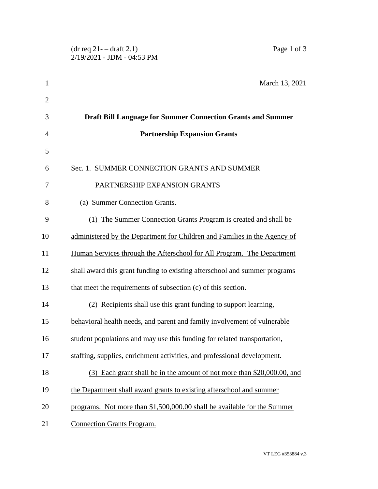|                | Page 1 of 3<br>$(dr \text{ req } 21 - dr \text{arft } 2.1)$<br>2/19/2021 - JDM - 04:53 PM |
|----------------|-------------------------------------------------------------------------------------------|
|                |                                                                                           |
| $\mathbf{1}$   | March 13, 2021                                                                            |
| $\overline{2}$ |                                                                                           |
| 3              | <b>Draft Bill Language for Summer Connection Grants and Summer</b>                        |
| $\overline{4}$ | <b>Partnership Expansion Grants</b>                                                       |
| 5              |                                                                                           |
| 6              | Sec. 1. SUMMER CONNECTION GRANTS AND SUMMER                                               |
| 7              | PARTNERSHIP EXPANSION GRANTS                                                              |
| 8              | (a) Summer Connection Grants.                                                             |
| 9              | (1) The Summer Connection Grants Program is created and shall be                          |
| 10             | administered by the Department for Children and Families in the Agency of                 |
| 11             | Human Services through the Afterschool for All Program. The Department                    |
| 12             | shall award this grant funding to existing afterschool and summer programs                |
| 13             | that meet the requirements of subsection (c) of this section.                             |
| 14             | (2) Recipients shall use this grant funding to support learning,                          |
| 15             | behavioral health needs, and parent and family involvement of vulnerable                  |
| 16             | student populations and may use this funding for related transportation,                  |
| 17             | staffing, supplies, enrichment activities, and professional development.                  |
| 18             | (3) Each grant shall be in the amount of not more than \$20,000.00, and                   |
| 19             | the Department shall award grants to existing afterschool and summer                      |
| 20             | programs. Not more than \$1,500,000.00 shall be available for the Summer                  |
| 21             | <b>Connection Grants Program.</b>                                                         |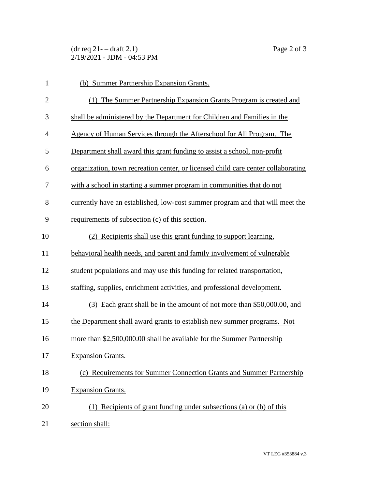$(\text{dr } \text{req } 21 - \text{draff } 2.1)$  Page 2 of 3 2/19/2021 - JDM - 04:53 PM

| $\mathbf{1}$   | (b) Summer Partnership Expansion Grants.                                          |
|----------------|-----------------------------------------------------------------------------------|
| $\overline{2}$ | (1) The Summer Partnership Expansion Grants Program is created and                |
| 3              | shall be administered by the Department for Children and Families in the          |
| 4              | Agency of Human Services through the Afterschool for All Program. The             |
| 5              | Department shall award this grant funding to assist a school, non-profit          |
| 6              | organization, town recreation center, or licensed child care center collaborating |
| 7              | with a school in starting a summer program in communities that do not             |
| 8              | currently have an established, low-cost summer program and that will meet the     |
| 9              | requirements of subsection (c) of this section.                                   |
| 10             | (2) Recipients shall use this grant funding to support learning,                  |
| 11             | behavioral health needs, and parent and family involvement of vulnerable          |
| 12             | student populations and may use this funding for related transportation,          |
| 13             | staffing, supplies, enrichment activities, and professional development.          |
| 14             | (3) Each grant shall be in the amount of not more than \$50,000.00, and           |
| 15             | the Department shall award grants to establish new summer programs. Not           |
| 16             | more than \$2,500,000.00 shall be available for the Summer Partnership            |
| 17             | <b>Expansion Grants.</b>                                                          |
| 18             | (c) Requirements for Summer Connection Grants and Summer Partnership              |
| 19             | <b>Expansion Grants.</b>                                                          |
| 20             | (1) Recipients of grant funding under subsections (a) or (b) of this              |
| 21             | section shall:                                                                    |